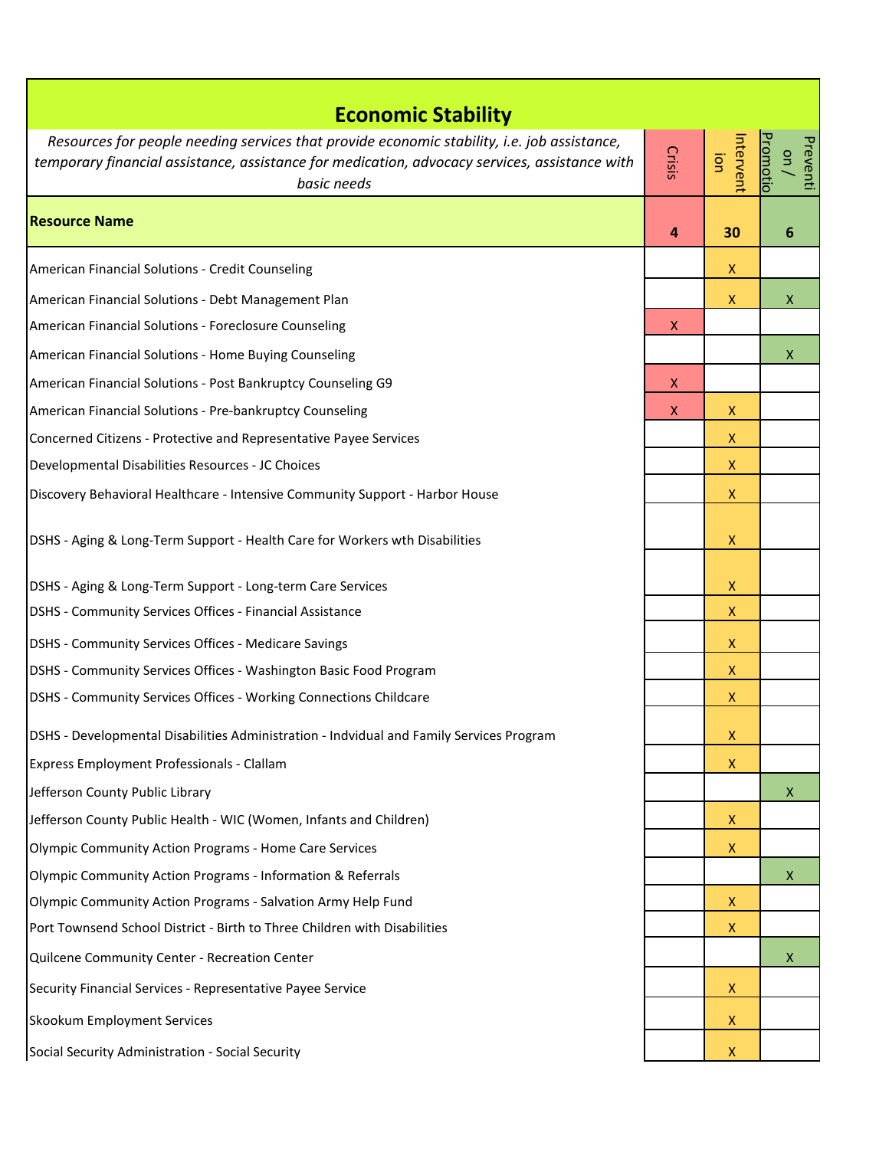| <b>Economic Stability</b>                                                                     |        |                    |                                               |  |  |
|-----------------------------------------------------------------------------------------------|--------|--------------------|-----------------------------------------------|--|--|
| Resources for people needing services that provide economic stability, i.e. job assistance,   |        |                    |                                               |  |  |
| temporary financial assistance, assistance for medication, advocacy services, assistance with | Crisis | ntervent<br>jon    | <u>Promotio</u><br>Preventi<br>$\overline{a}$ |  |  |
| basic needs                                                                                   |        |                    |                                               |  |  |
| <b>Resource Name</b>                                                                          | 4      | 30                 | $6\phantom{1}6$                               |  |  |
| American Financial Solutions - Credit Counseling                                              |        | X                  |                                               |  |  |
| American Financial Solutions - Debt Management Plan                                           |        | $\mathsf{X}$       | $\mathsf{X}$                                  |  |  |
| American Financial Solutions - Foreclosure Counseling                                         | X      |                    |                                               |  |  |
| American Financial Solutions - Home Buying Counseling                                         |        |                    | X                                             |  |  |
| American Financial Solutions - Post Bankruptcy Counseling G9                                  | X      |                    |                                               |  |  |
| American Financial Solutions - Pre-bankruptcy Counseling                                      | X      | X                  |                                               |  |  |
| Concerned Citizens - Protective and Representative Payee Services                             |        | X                  |                                               |  |  |
| Developmental Disabilities Resources - JC Choices                                             |        | X                  |                                               |  |  |
| Discovery Behavioral Healthcare - Intensive Community Support - Harbor House                  |        | x                  |                                               |  |  |
| DSHS - Aging & Long-Term Support - Health Care for Workers wth Disabilities                   |        | X                  |                                               |  |  |
| DSHS - Aging & Long-Term Support - Long-term Care Services                                    |        | X                  |                                               |  |  |
| DSHS - Community Services Offices - Financial Assistance                                      |        | X                  |                                               |  |  |
| DSHS - Community Services Offices - Medicare Savings                                          |        | X                  |                                               |  |  |
| DSHS - Community Services Offices - Washington Basic Food Program                             |        | X                  |                                               |  |  |
| DSHS - Community Services Offices - Working Connections Childcare                             |        | $\mathsf{X}$       |                                               |  |  |
| DSHS - Developmental Disabilities Administration - Indvidual and Family Services Program      |        | X                  |                                               |  |  |
| Express Employment Professionals - Clallam                                                    |        | X                  |                                               |  |  |
| Jefferson County Public Library                                                               |        |                    | $\mathsf{X}$                                  |  |  |
| Jefferson County Public Health - WIC (Women, Infants and Children)                            |        | X                  |                                               |  |  |
| <b>Olympic Community Action Programs - Home Care Services</b>                                 |        | $\pmb{\mathsf{X}}$ |                                               |  |  |
| Olympic Community Action Programs - Information & Referrals                                   |        |                    | $\mathsf{X}$                                  |  |  |
| Olympic Community Action Programs - Salvation Army Help Fund                                  |        | X                  |                                               |  |  |
| Port Townsend School District - Birth to Three Children with Disabilities                     |        | X                  |                                               |  |  |
| Quilcene Community Center - Recreation Center                                                 |        |                    | X                                             |  |  |
| Security Financial Services - Representative Payee Service                                    |        | X                  |                                               |  |  |
| Skookum Employment Services                                                                   |        | X                  |                                               |  |  |
| Social Security Administration - Social Security                                              |        | $\mathsf{X}$       |                                               |  |  |